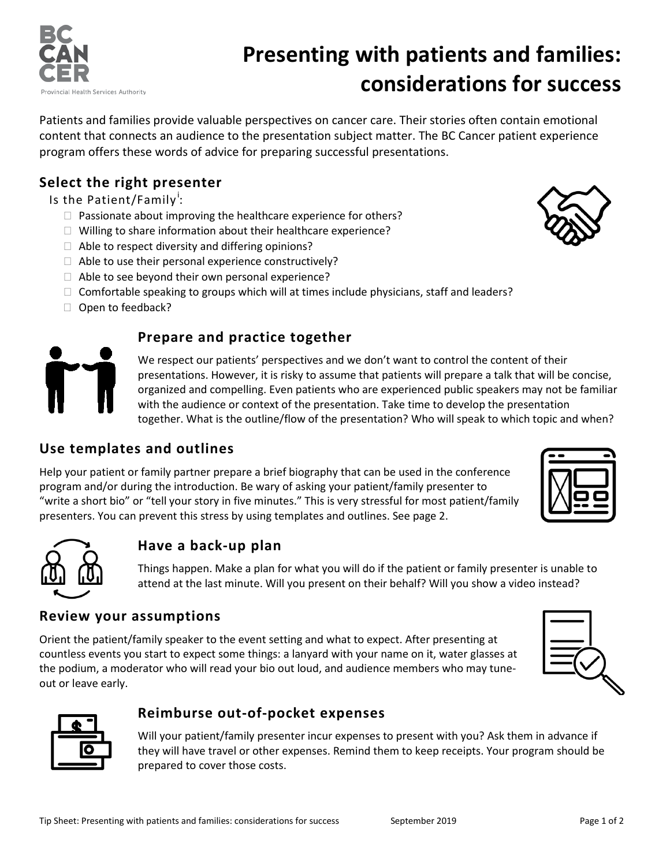

# **Presenting with patients and families: considerations for success**

Patients and families provide valuable perspectives on cancer care. Their stories often contain emotional content that connects an audience to the presentation subject matter. The BC Cancer patient experience program offers these words of advice for preparing successful presentations.

### **Select the right presenter**

Is the Pat[i](#page-1-0)ent/Family<sup>i</sup>:

- $\Box$  Passionate about improving the healthcare experience for others?
- $\Box$  Willing to share information about their healthcare experience?
- $\Box$  Able to respect diversity and differing opinions?
- $\Box$  Able to use their personal experience constructively?
- $\Box$  Able to see beyond their own personal experience?
- $\Box$  Comfortable speaking to groups which will at times include physicians, staff and leaders?
- $\Box$  Open to feedback?

#### **Prepare and practice together**

We respect our patients' perspectives and we don't want to control the content of their presentations. However, it is risky to assume that patients will prepare a talk that will be concise, organized and compelling. Even patients who are experienced public speakers may not be familiar with the audience or context of the presentation. Take time to develop the presentation together. What is the outline/flow of the presentation? Who will speak to which topic and when?

## **Use templates and outlines**

Help your patient or family partner prepare a brief biography that can be used in the conference program and/or during the introduction. Be wary of asking your patient/family presenter to "write a short bio" or "tell your story in five minutes." This is very stressful for most patient/family presenters. You can prevent this stress by using templates and outlines. See page 2.

#### **Have a back-up plan**

Things happen. Make a plan for what you will do if the patient or family presenter is unable to attend at the last minute. Will you present on their behalf? Will you show a video instead?

#### **Review your assumptions**

Orient the patient/family speaker to the event setting and what to expect. After presenting at countless events you start to expect some things: a lanyard with your name on it, water glasses at the podium, a moderator who will read your bio out loud, and audience members who may tuneout or leave early.

#### **Reimburse out-of-pocket expenses**

Will your patient/family presenter incur expenses to present with you? Ask them in advance if they will have travel or other expenses. Remind them to keep receipts. Your program should be prepared to cover those costs.